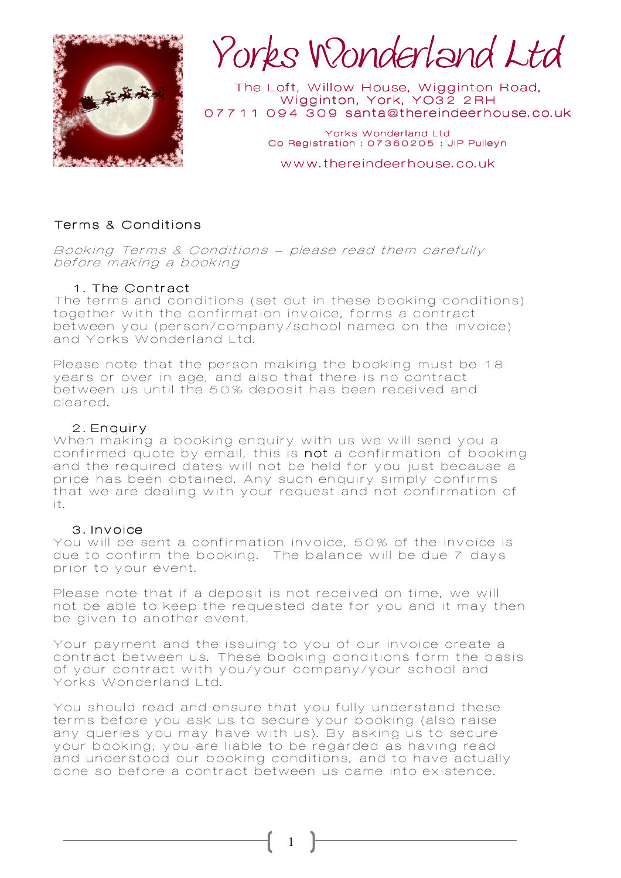

Yorks Wonderland Ltd Ltd

The Loft, Willow House, Wigginton Road, Wigginton, York, YO32 2RH 07711 094 309 santa@thereindeerhouse.co.uk

> Yorks Wonderland Ltd Co Registration: 07360205 : JIP Pulleyn

www.thereindeerhouse.co.uk

### Terms & Conditions

Booking Terms & Conditions – please read them carefully before making a booking

## 1. The Contract

The terms and conditions (set out in these booking conditions) together with the confirmation invoice, forms a contract between you (person/company/school named on the invoice) and Yorks Wonderland Ltd.

Please note that the person making the booking must be 18 years or over in age, and also that there is no contract between us until the 50% deposit has been received and cleared.

### 2. Enquiry

When making a booking enquiry with us we will send you a confirmed quote by email, this is not a confirmation of booking and the required dates will not be held for you just because a price has been obtained. Any such enquiry simply confirms that we are dealing with your request and not confirmation of it.

#### 3. Invoice

You will be sent a confirmation invoice, 50% of the invoice is due to confirm the booking. The balance will be due 7 days prior to your event.

Please note that if a deposit is not received on time, we will not be able to keep the requested date for you and it may then be given to another event.

Your payment and the issuing to you of our invoice create a contract between us. These booking conditions form the basis of your contract with you/your company/your school and Yorks Wonderland Ltd.

You should read and ensure that you fully understand these terms before you ask us to secure your booking (also raise any queries you may have with us). By asking us to secure your booking, you are liable to be regarded as having read and understood our booking conditions, and to have actually done so before a contract between us came into existence.

1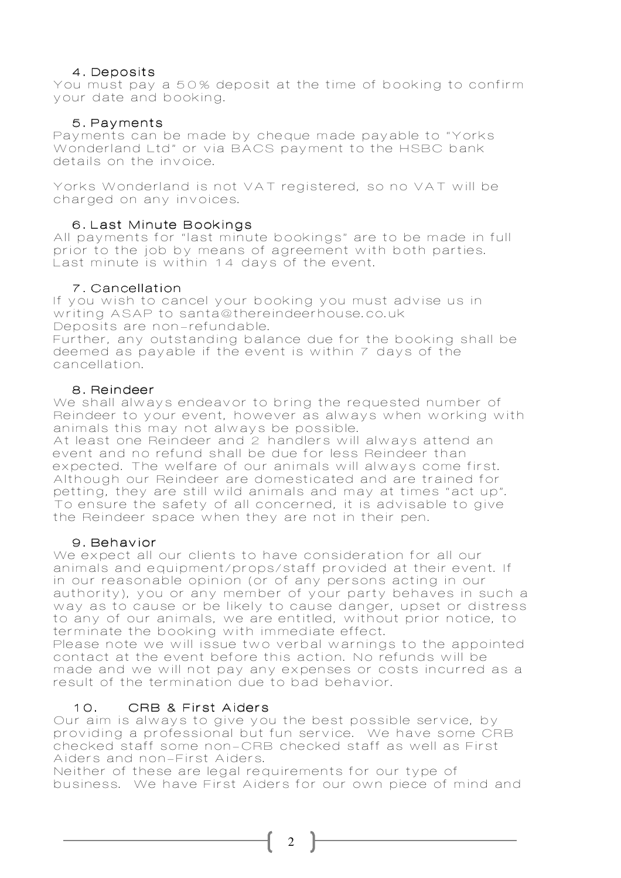## 4. Deposits

You must pay a 50% deposit at the time of booking to confirm your date and booking.

### 5. Payments

Payments can be made by cheque made payable to "Yorks Wonderland Ltd" or via BACS payment to the HSBC bank details on the invoice.

Yorks Wonderland is not VAT registered, so no VAT will be charged on any invoices.

### 6. Last Minute Bookings

All payments for "last minute bookings" are to be made in full prior to the job by means of agreement with both parties. Last minute is within 14 days of the event.

## 7. Cancellation

If you wish to cancel your booking you must advise us in writing ASAP to santa@thereindeerhouse.co.uk Deposits are non-refundable. Further, any outstanding balance due for the booking shall be deemed as payable if the event is within 7 days of the

### 8. Reindeer

cancellation.

We shall always endeavor to bring the requested number of Reindeer to your event, however as always when working with animals this may not always be possible.

At least one Reindeer and 2 handlers will always attend an event and no refund shall be due for less Reindeer than expected. The welfare of our animals will always come first. Although our Reindeer are domesticated and are trained for petting, they are still wild animals and may at times "act up". To ensure the safety of all concerned, it is advisable to give the Reindeer space when they are not in their pen.

### 9. Behavior

We expect all our clients to have consideration for all our animals and equipment/props/staff provided at their event. If in our reasonable opinion (or of any persons acting in our authority), you or any member of your party behaves in such a way as to cause or be likely to cause danger, upset or distress to any of our animals, we are entitled, without prior notice, to terminate the booking with immediate effect.

Please note we will issue two verbal warnings to the appointed contact at the event before this action. No refunds will be made and we will not pay any expenses or costs incurred as a result of the termination due to bad behavior.

# 10. CRB & First Aiders

Our aim is always to give you the best possible service, by providing a professional but fun service. We have some CRB checked staff some non-CRB checked staff as well as First Aiders and non-First Aiders.

Neither of these are legal requirements for our type of business. We have First Aiders for our own piece of mind and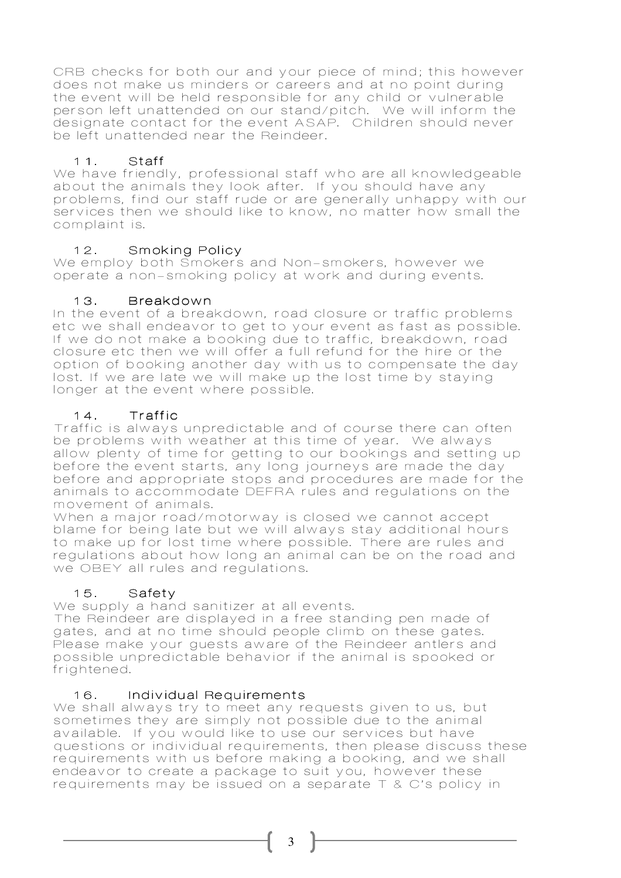CRB checks for both our and your piece of mind; this however does not make us minders or careers and at no point during the event will be held responsible for any child or vulnerable person left unattended on our stand/pitch. We will inform the designate contact for the event ASAP. Children should never be left unattended near the Reindeer.

## 11. Staff

We have friendly, professional staff who are all knowledgeable about the animals they look after. If you should have any problems, find our staff rude or are generally unhappy with our services then we should like to know, no matter how small the complaint is.

## 12. Smoking Policy

We employ both Smokers and Non-smokers, however we operate a non-smoking policy at work and during events.

### 13. Breakdown

In the event of a breakdown, road closure or traffic problems etc we shall endeavor to get to your event as fast as possible. If we do not make a booking due to traffic, breakdown, road closure etc then we will offer a full refund for the hire or the option of booking another day with us to compensate the day lost. If we are late we will make up the lost time by staying longer at the event where possible.

## 14. Traffic

Traffic is always unpredictable and of course there can often be problems with weather at this time of year. We always allow plenty of time for getting to our bookings and setting up before the event starts, any long journeys are made the day before and appropriate stops and procedures are made for the animals to accommodate DEFRA rules and regulations on the movement of animals.

When a major road/motorway is closed we cannot accept blame for being late but we will always stay additional hours to make up for lost time where possible. There are rules and regulations about how long an animal can be on the road and we OBEY all rules and regulations.

# 15. Safety

We supply a hand sanitizer at all events.

The Reindeer are displayed in a free standing pen made of gates, and at no time should people climb on these gates. Please make your guests aware of the Reindeer antlers and possible unpredictable behavior if the animal is spooked or frightened.

### 16. Individual Requirements

We shall always try to meet any requests given to us, but sometimes they are simply not possible due to the animal available. If you would like to use our services but have questions or individual requirements, then please discuss these requirements with us before making a booking, and we shall endeavor to create a package to suit you, however these requirements may be issued on a separate T & C's policy in